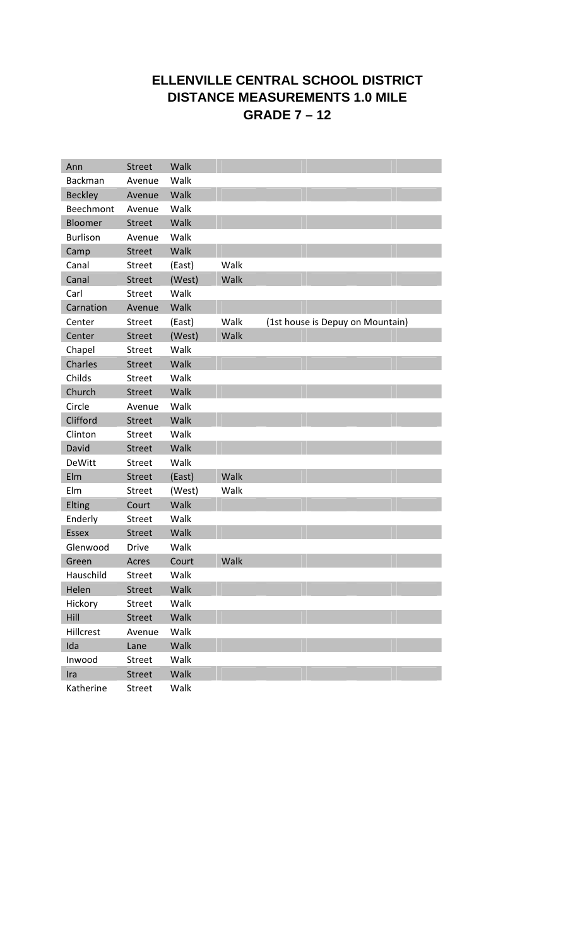## **ELLENVILLE CENTRAL SCHOOL DISTRICT DISTANCE MEASUREMENTS 1.0 MILE GRADE 7 – 12**

| Ann             | <b>Street</b> | Walk   |      |  |                                  |  |
|-----------------|---------------|--------|------|--|----------------------------------|--|
| <b>Backman</b>  | Avenue        | Walk   |      |  |                                  |  |
| <b>Beckley</b>  | Avenue        | Walk   |      |  |                                  |  |
| Beechmont       | Avenue        | Walk   |      |  |                                  |  |
| <b>Bloomer</b>  | <b>Street</b> | Walk   |      |  |                                  |  |
| <b>Burlison</b> | Avenue        | Walk   |      |  |                                  |  |
| Camp            | <b>Street</b> | Walk   |      |  |                                  |  |
| Canal           | <b>Street</b> | (East) | Walk |  |                                  |  |
| Canal           | <b>Street</b> | (West) | Walk |  |                                  |  |
| Carl            | <b>Street</b> | Walk   |      |  |                                  |  |
| Carnation       | Avenue        | Walk   |      |  |                                  |  |
| Center          | <b>Street</b> | (East) | Walk |  | (1st house is Depuy on Mountain) |  |
| Center          | <b>Street</b> | (West) | Walk |  |                                  |  |
| Chapel          | <b>Street</b> | Walk   |      |  |                                  |  |
| <b>Charles</b>  | <b>Street</b> | Walk   |      |  |                                  |  |
| Childs          | <b>Street</b> | Walk   |      |  |                                  |  |
| Church          | <b>Street</b> | Walk   |      |  |                                  |  |
| Circle          | Avenue        | Walk   |      |  |                                  |  |
| Clifford        | <b>Street</b> | Walk   |      |  |                                  |  |
| Clinton         | <b>Street</b> | Walk   |      |  |                                  |  |
| David           | <b>Street</b> | Walk   |      |  |                                  |  |
| <b>DeWitt</b>   | <b>Street</b> | Walk   |      |  |                                  |  |
| Elm             | <b>Street</b> | (East) | Walk |  |                                  |  |
| Elm             | <b>Street</b> | (West) | Walk |  |                                  |  |
| Elting          | Court         | Walk   |      |  |                                  |  |
| Enderly         | <b>Street</b> | Walk   |      |  |                                  |  |
| <b>Essex</b>    | <b>Street</b> | Walk   |      |  |                                  |  |
| Glenwood        | <b>Drive</b>  | Walk   |      |  |                                  |  |
| Green           | Acres         | Court  | Walk |  |                                  |  |
| Hauschild       | Street        | Walk   |      |  |                                  |  |
| Helen           | Street        | Walk   |      |  |                                  |  |
| Hickory         | Street        | Walk   |      |  |                                  |  |
| Hill            | <b>Street</b> | Walk   |      |  |                                  |  |
| Hillcrest       | Avenue        | Walk   |      |  |                                  |  |
| Ida             | Lane          | Walk   |      |  |                                  |  |
| Inwood          | <b>Street</b> | Walk   |      |  |                                  |  |
| Ira             | <b>Street</b> | Walk   |      |  |                                  |  |
| Katherine       | Street        | Walk   |      |  |                                  |  |